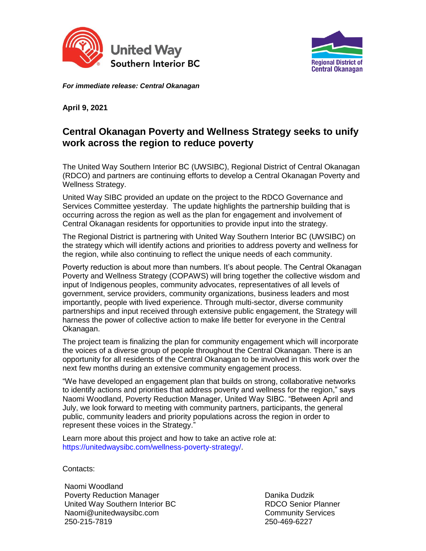



*For immediate release: Central Okanagan*

**April 9, 2021** 

## **Central Okanagan Poverty and Wellness Strategy seeks to unify work across the region to reduce poverty**

The United Way Southern Interior BC (UWSIBC), Regional District of Central Okanagan (RDCO) and partners are continuing efforts to develop a Central Okanagan Poverty and Wellness Strategy.

United Way SIBC provided an update on the project to the RDCO Governance and Services Committee yesterday. The update highlights the partnership building that is occurring across the region as well as the plan for engagement and involvement of Central Okanagan residents for opportunities to provide input into the strategy.

The Regional District is partnering with United Way Southern Interior BC (UWSIBC) on the strategy which will identify actions and priorities to address poverty and wellness for the region, while also continuing to reflect the unique needs of each community.

Poverty reduction is about more than numbers. It's about people. The Central Okanagan Poverty and Wellness Strategy (COPAWS) will bring together the collective wisdom and input of Indigenous peoples, community advocates, representatives of all levels of government, service providers, community organizations, business leaders and most importantly, people with lived experience. Through multi-sector, diverse community partnerships and input received through extensive public engagement, the Strategy will harness the power of collective action to make life better for everyone in the Central Okanagan.

The project team is finalizing the plan for community engagement which will incorporate the voices of a diverse group of people throughout the Central Okanagan. There is an opportunity for all residents of the Central Okanagan to be involved in this work over the next few months during an extensive community engagement process.

"We have developed an engagement plan that builds on strong, collaborative networks to identify actions and priorities that address poverty and wellness for the region," says Naomi Woodland, Poverty Reduction Manager, United Way SIBC. "Between April and July, we look forward to meeting with community partners, participants, the general public, community leaders and priority populations across the region in order to represent these voices in the Strategy."

Learn more about this project and how to take an active role at: [https://unitedwaysibc.com/wellness-poverty-strategy/.](https://unitedwaysibc.com/wellness-poverty-strategy/)

Contacts:

Naomi Woodland Poverty Reduction Manager United Way Southern Interior BC Naomi@unitedwaysibc.com 250-215-7819

Danika Dudzik RDCO Senior Planner Community Services 250-469-6227